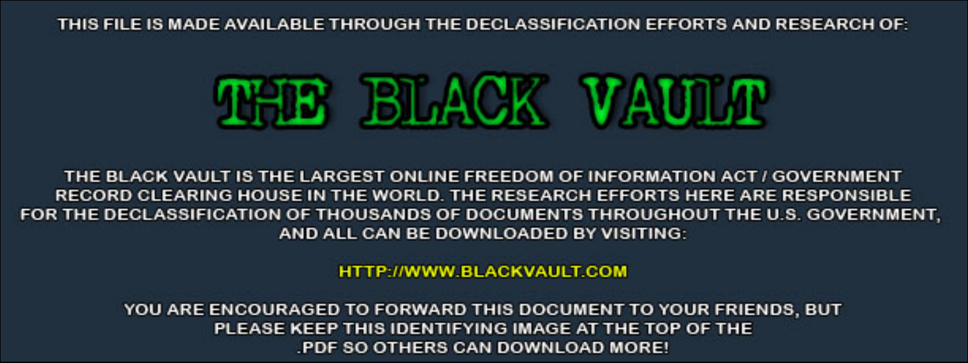THIS FILE IS MADE AVAILABLE THROUGH THE DECLASSIFICATION EFFORTS AND RESEARCH OF:



THE BLACK VAULT IS THE LARGEST ONLINE FREEDOM OF INFORMATION ACT / GOVERNMENT RECORD CLEARING HOUSE IN THE WORLD. THE RESEARCH EFFORTS HERE ARE RESPONSIBLE FOR THE DECLASSIFICATION OF THOUSANDS OF DOCUMENTS THROUGHOUT THE U.S. GOVERNMENT, AND ALL CAN BE DOWNLOADED BY VISITING:

**HTTP://WWW.BLACKVAULT.COM** 

YOU ARE ENCOURAGED TO FORWARD THIS DOCUMENT TO YOUR FRIENDS, BUT PLEASE KEEP THIS IDENTIFYING IMAGE AT THE TOP OF THE PDF SO OTHERS CAN DOWNLOAD MORE!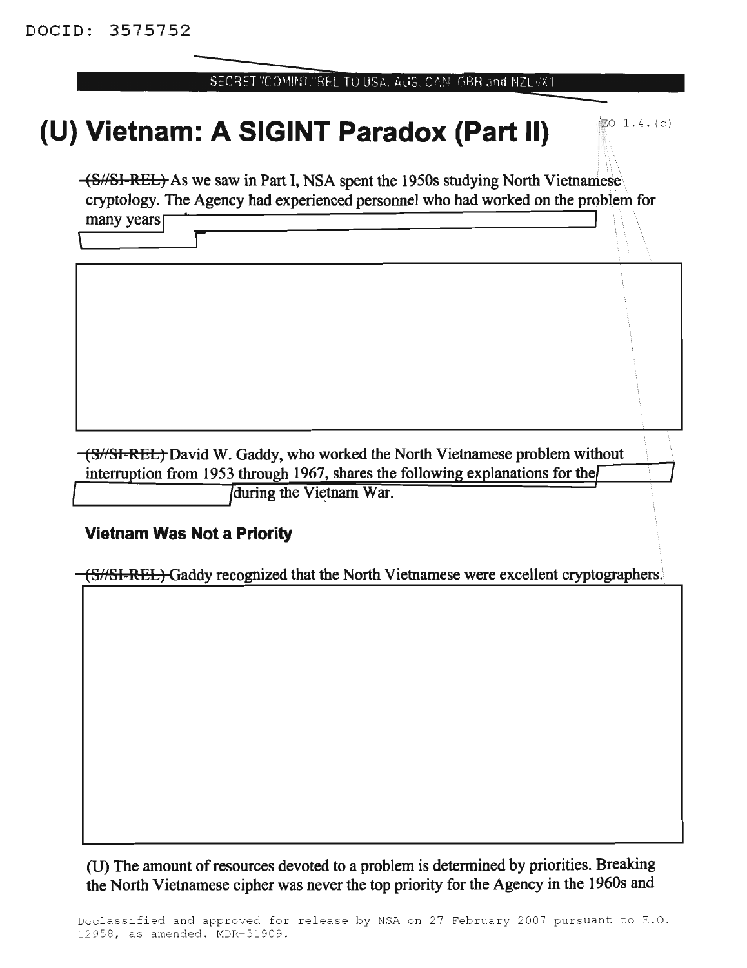## SECRET#COMINT#REL TO USA, AUS, CAN, GBR and NZL#X1

## **(U)** Vietnam: A SIGINT Paradox (Part II)  $\mathbb{R}^{6}$  1.4. (c)

(S/SI-REL) As we saw in Part I, NSA spent the 1950s studying North Vietnamese cryptology. The Agency had experienced personnel who had worked on the problem for  $\frac{1}{2}$  many years  $\frac{1}{2}$  is the dependence of  $\frac{1}{2}$  and  $\frac{1}{2}$  and  $\frac{1}{2}$  and  $\frac{1}{2}$  and  $\frac{1}{2}$  and  $\frac{1}{2}$  and  $\frac{1}{2}$  and  $\frac{1}{2}$  and  $\frac{1}{2}$  and  $\frac{1}{2}$  and  $\frac{1}{2}$  and  $\frac{1}{2}$  and

many years<sup>[</sup>

(S//SI-REL) David W. Gaddy, who worked the North Vietnamese problem without interruption from 1953 through 1967, shares the following explanations for the

Iduring the Vietnam War.

## **Vietnam Was Not a Priority**

(S//SI-REL) Gaddy recognized that the North Vietnamese were excellent cryptographers.

(D) The amount ofresources devoted to a problem is determined by priorities. Breaking the North Vietnamese cipher was never the top priority for the Agency in the 1960s and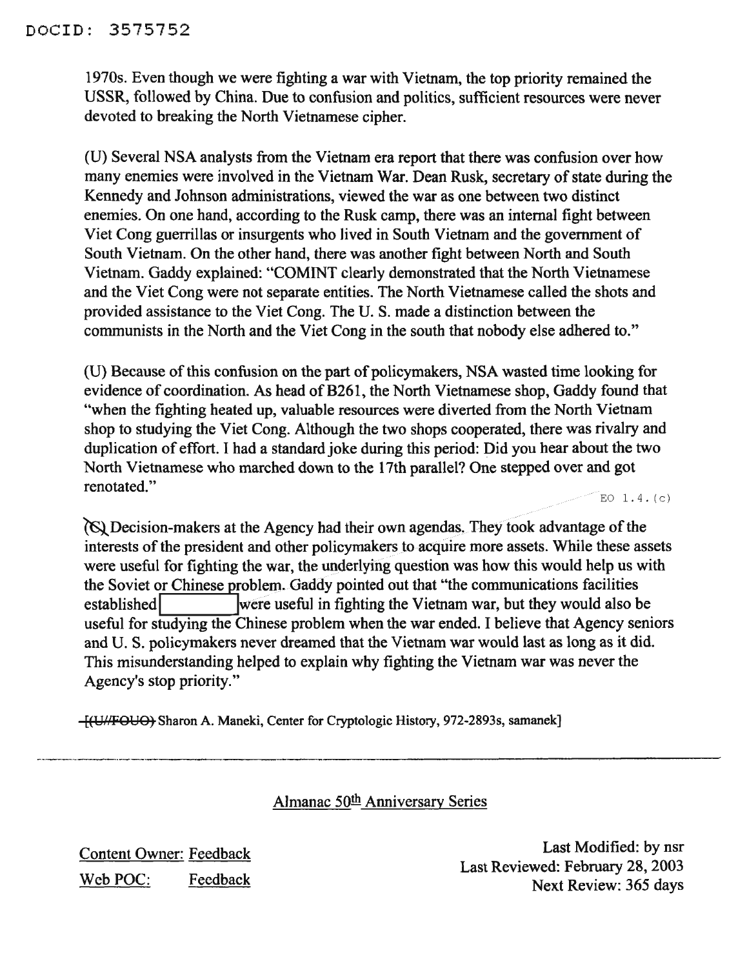1970s. Even though we were fighting a war with Vietnam, the top priority remained the USSR, followed by China. Due to confusion and politics, sufficient resources were never devoted to breaking the North Vietnamese cipher.

(U) Several NSA analysts from the Vietnam era report that there was confusion over how many enemies were involved in the Vietnam War. Dean Rusk, secretary of state during the Kennedy and Johnson administrations, viewed the war as one between two distinct enemies. On one hand, according to the Rusk camp, there was an internal fight between Viet Cong guerrillas or insurgents who lived in South Vietnam and the government of South Vietnam. On the other hand, there was another fight between North and South Vietnam. Gaddy explained: "COMINT clearly demonstrated that the North Vietnamese and the Viet Cong were not separate entities. The North Vietnamese called the shots and provided assistance to the Viet Cong. The U.S. made a distinction between the communists in the North and the Viet Cong in the south that nobody else adhered to."

(U) Because of this confusion on the part of policymakers, NSA wasted time looking for evidence of coordination. As head of B261, the North Vietnamese shop, Gaddy found that "when the fighting heated up, valuable resources were diverted from the North Vietnam shop to studying the Viet Cong. Although the two shops cooperated, there was rivalry and duplication of effort. I had a standard joke during this period: Did you hear about the two North Vietnamese who marched down to the 17th parallel? One stepped over and got **renotated."** EQ 1.4. (c)

 $\Diamond$  Decision-makers at the Agency had their own agendas. They took advantage of the interests of the president and other policymakers to acquire more assets. While these assets were useful for fighting the war, the underlying question was how this would help us with the Soviet or Chinese problem. Gaddy pointed out that "the communications facilities established **I** Iwere useful in fighting the Vietnam war, but they would also be useful for studying the Chinese problem when the war ended. I believe that Agency seniors and U. S. policymakers never dreamed that the Vietnam war would last as long as it did. This misunderstanding helped to explain why fighting the Vietnam war was never the Agency's stop priority."

 $-[$ (U//FOUO) Sharon A. Maneki, Center for Cryptologic History, 972-2893s, samanek]

Almanac 50<sup>th</sup> Anniversary Series

Content Owner: Feedback Web POC: Feedback

Last Modified: by nsr Last Reviewed: February 28, 2003 Next Review: 365 days